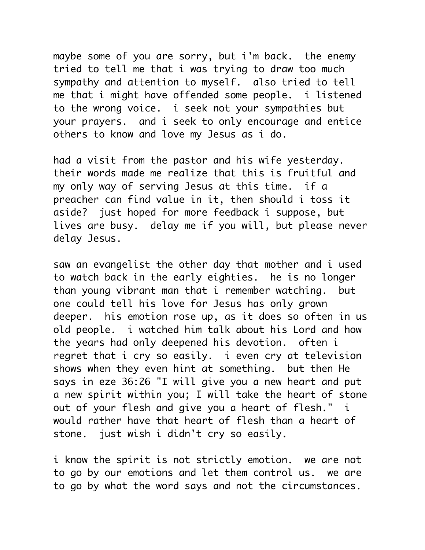maybe some of you are sorry, but i'm back. the enemy tried to tell me that i was trying to draw too much sympathy and attention to myself. also tried to tell me that i might have offended some people. i listened to the wrong voice. i seek not your sympathies but your prayers. and i seek to only encourage and entice others to know and love my Jesus as i do.

had a visit from the pastor and his wife yesterday. their words made me realize that this is fruitful and my only way of serving Jesus at this time. if a preacher can find value in it, then should i toss it aside? just hoped for more feedback i suppose, but lives are busy. delay me if you will, but please never delay Jesus.

saw an evangelist the other day that mother and i used to watch back in the early eighties. he is no longer than young vibrant man that i remember watching. but one could tell his love for Jesus has only grown deeper. his emotion rose up, as it does so often in us old people. i watched him talk about his Lord and how the years had only deepened his devotion. often i regret that i cry so easily. i even cry at television shows when they even hint at something. but then He says in eze 36:26 "I will give you a new heart and put a new spirit within you; I will take the heart of stone out of your flesh and give you a heart of flesh." i would rather have that heart of flesh than a heart of stone. just wish i didn't cry so easily.

i know the spirit is not strictly emotion. we are not to go by our emotions and let them control us. we are to go by what the word says and not the circumstances.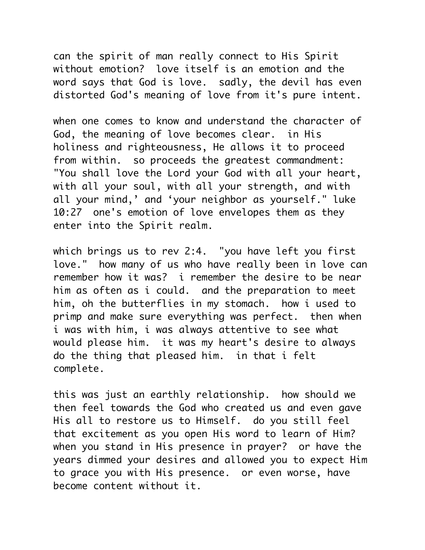can the spirit of man really connect to His Spirit without emotion? love itself is an emotion and the word says that God is love. sadly, the devil has even distorted God's meaning of love from it's pure intent.

when one comes to know and understand the character of God, the meaning of love becomes clear. in His holiness and righteousness, He allows it to proceed from within. so proceeds the greatest commandment: "You shall love the Lord your God with all your heart, with all your soul, with all your strength, and with all your mind,' and 'your neighbor as yourself." luke 10:27 one's emotion of love envelopes them as they enter into the Spirit realm.

which brings us to rev 2:4. "you have left you first love." how many of us who have really been in love can remember how it was? i remember the desire to be near him as often as i could. and the preparation to meet him, oh the butterflies in my stomach. how i used to primp and make sure everything was perfect. then when i was with him, i was always attentive to see what would please him. it was my heart's desire to always do the thing that pleased him. in that i felt complete.

this was just an earthly relationship. how should we then feel towards the God who created us and even gave His all to restore us to Himself. do you still feel that excitement as you open His word to learn of Him? when you stand in His presence in prayer? or have the years dimmed your desires and allowed you to expect Him to grace you with His presence. or even worse, have become content without it.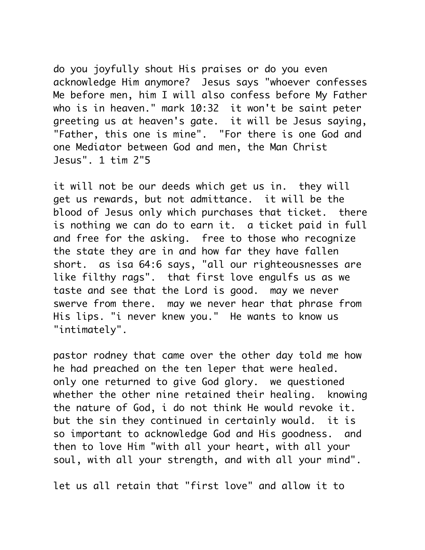do you joyfully shout His praises or do you even acknowledge Him anymore? Jesus says "whoever confesses Me before men, him I will also confess before My Father who is in heaven." mark 10:32 it won't be saint peter greeting us at heaven's gate. it will be Jesus saying, "Father, this one is mine". "For there is one God and one Mediator between God and men, the Man Christ Jesus". 1 tim 2"5

it will not be our deeds which get us in. they will get us rewards, but not admittance. it will be the blood of Jesus only which purchases that ticket. there is nothing we can do to earn it. a ticket paid in full and free for the asking. free to those who recognize the state they are in and how far they have fallen short. as isa 64:6 says, "all our righteousnesses are like filthy rags". that first love engulfs us as we taste and see that the Lord is good. may we never swerve from there. may we never hear that phrase from His lips. "i never knew you." He wants to know us "intimately".

pastor rodney that came over the other day told me how he had preached on the ten leper that were healed. only one returned to give God glory. we questioned whether the other nine retained their healing. knowing the nature of God, i do not think He would revoke it. but the sin they continued in certainly would. it is so important to acknowledge God and His goodness. and then to love Him "with all your heart, with all your soul, with all your strength, and with all your mind".

let us all retain that "first love" and allow it to